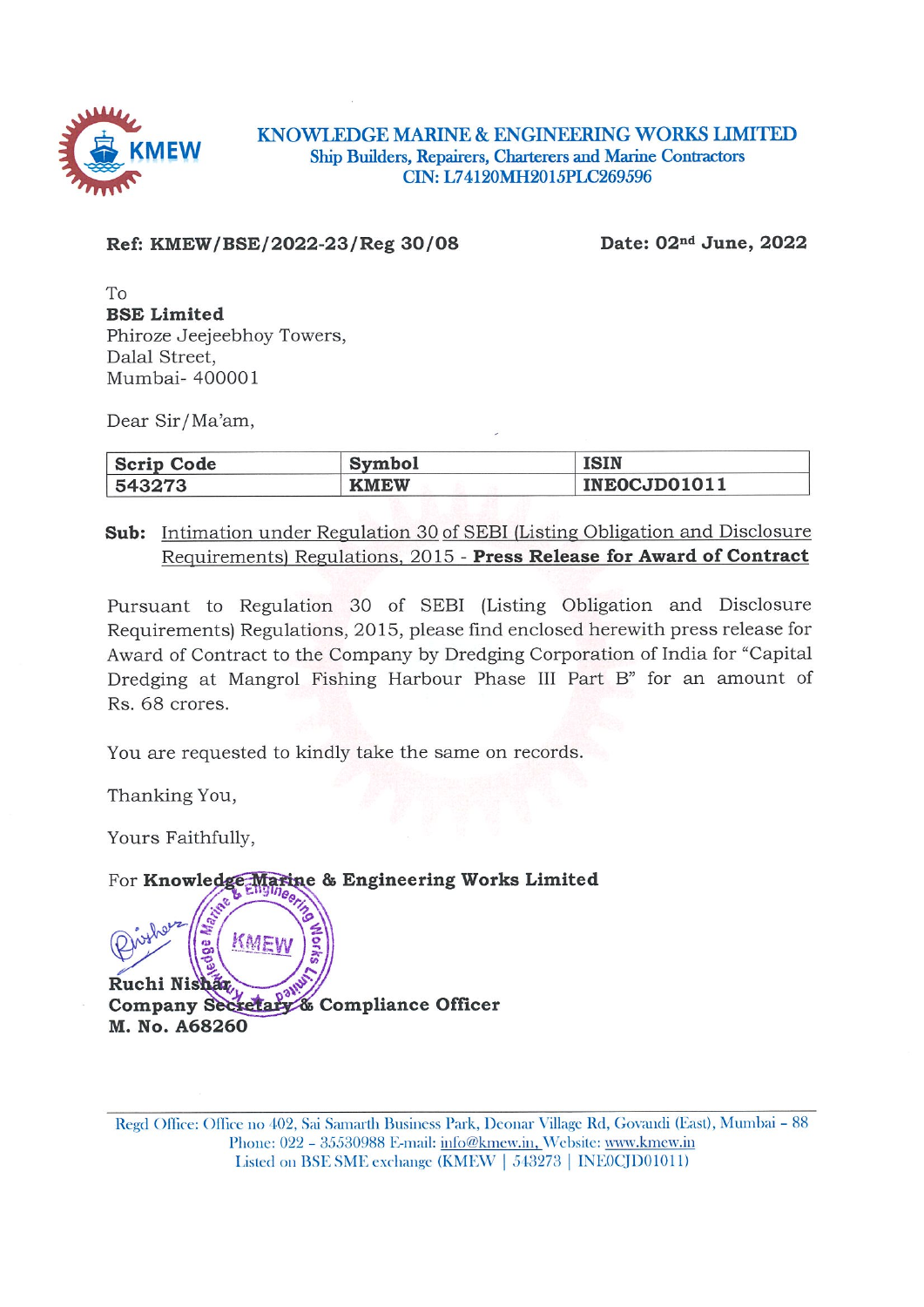

KNOWLEDGE MARINE & ENGINEERING WORKS LIMITED Ship Builders, Repairers, Charterers and Marine Contractors CIN: L74120MH2015PLC269596

Ref: KMEW/BSE/2022-23/Reg 30/08

Date: 02<sup>nd</sup> June, 2022

 $To$ **BSE Limited** Phiroze Jeejeebhoy Towers, Dalal Street. Mumbai- 400001

Dear Sir/Ma'am,

| Scrip Code | <b>Symbol</b> | <b>ISIN</b>  |
|------------|---------------|--------------|
| 543273     | <b>KMEW</b>   | INEOCJD01011 |

**Sub:** Intimation under Regulation 30 of SEBI (Listing Obligation and Disclosure Requirements) Regulations, 2015 - Press Release for Award of Contract

Pursuant to Regulation 30 of SEBI (Listing Obligation and Disclosure Requirements) Regulations, 2015, please find enclosed herewith press release for Award of Contract to the Company by Dredging Corporation of India for "Capital" Dredging at Mangrol Fishing Harbour Phase III Part B" for an amount of Rs. 68 crores.

You are requested to kindly take the same on records.

Thanking You,

Ruchi Nishaa

M. No. A68260

Yours Faithfully,

KME

Company Secretary & Compliance Officer

For Knowledge Marine & Engineering Works Limited

Regd Office: Office no 402, Sai Samarth Business Park, Deonar Village Rd, Govandi (East), Mumbai - 88 Phone: 022 - 35530988 E-mail: info@kmew.in, Website: www.kmew.in Listed on BSE SME exchange (KMEW | 543273 | INE0CJD01011)